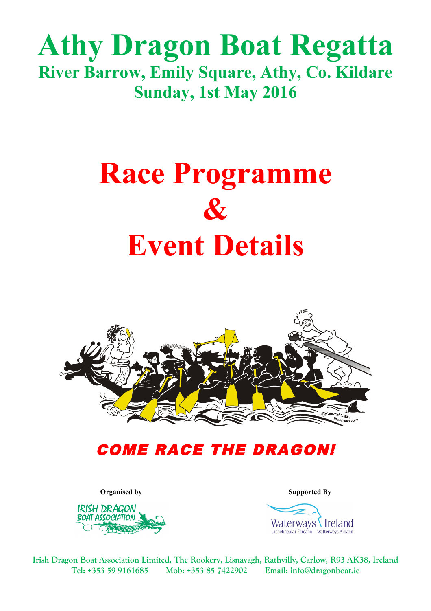## **Athy Dragon Boat Regatta River Barrow, Emily Square, Athy, Co. Kildare Sunday, 1st May 2016**

# **Race Programme & Event Details**



### COME RACE THE DRAGON!



**Organised by Supported By**



**Irish Dragon Boat Association Limited, The Rookery, Lisnavagh, Rathvilly, Carlow, R93 AK38, Ireland Tel: +353 59 9161685 Mob: +353 85 7422902 Email: info@dragonboat.ie**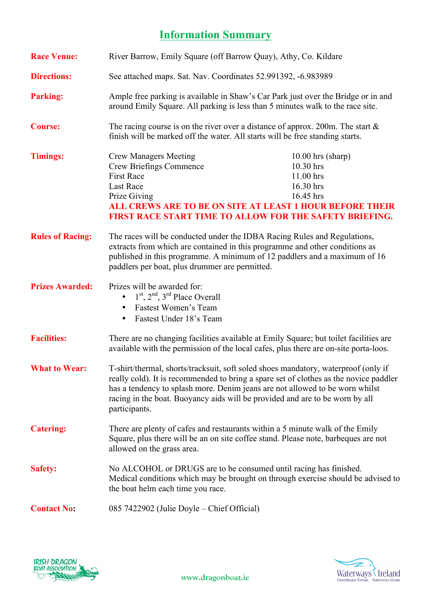#### **Information Summary**

| <b>Race Venue:</b>      | River Barrow, Emily Square (off Barrow Quay), Athy, Co. Kildare                                                                                                                                                                                                                                                                                              |                                                                         |
|-------------------------|--------------------------------------------------------------------------------------------------------------------------------------------------------------------------------------------------------------------------------------------------------------------------------------------------------------------------------------------------------------|-------------------------------------------------------------------------|
| <b>Directions:</b>      | See attached maps. Sat. Nav. Coordinates 52.991392, -6.983989                                                                                                                                                                                                                                                                                                |                                                                         |
| <b>Parking:</b>         | Ample free parking is available in Shaw's Car Park just over the Bridge or in and<br>around Emily Square. All parking is less than 5 minutes walk to the race site.                                                                                                                                                                                          |                                                                         |
| <b>Course:</b>          | The racing course is on the river over a distance of approx. 200m. The start $\&$<br>finish will be marked off the water. All starts will be free standing starts.                                                                                                                                                                                           |                                                                         |
| <b>Timings:</b>         | <b>Crew Managers Meeting</b><br><b>Crew Briefings Commence</b><br><b>First Race</b><br><b>Last Race</b><br>Prize Giving<br><b>ALL CREWS ARE TO BE ON SITE AT LEAST 1 HOUR BEFORE THEIR</b><br>FIRST RACE START TIME TO ALLOW FOR THE SAFETY BRIEFING.                                                                                                        | $10.00$ hrs (sharp)<br>10.30 hrs<br>11.00 hrs<br>16.30 hrs<br>16.45 hrs |
| <b>Rules of Racing:</b> | The races will be conducted under the IDBA Racing Rules and Regulations,<br>extracts from which are contained in this programme and other conditions as<br>published in this programme. A minimum of 12 paddlers and a maximum of 16<br>paddlers per boat, plus drummer are permitted.                                                                       |                                                                         |
| <b>Prizes Awarded:</b>  | Prizes will be awarded for:<br>$\bullet$ 1 <sup>st</sup> , 2 <sup>nd</sup> , 3 <sup>rd</sup> Place Overall<br>Fastest Women's Team<br>Fastest Under 18's Team<br>$\bullet$                                                                                                                                                                                   |                                                                         |
| <b>Facilities:</b>      | There are no changing facilities available at Emily Square; but toilet facilities are<br>available with the permission of the local cafes, plus there are on-site porta-loos.                                                                                                                                                                                |                                                                         |
| <b>What to Wear:</b>    | T-shirt/thermal, shorts/tracksuit, soft soled shoes mandatory, waterproof (only if<br>really cold). It is recommended to bring a spare set of clothes as the novice paddler<br>has a tendency to splash more. Denim jeans are not allowed to be worn whilst<br>racing in the boat. Buoyancy aids will be provided and are to be worn by all<br>participants. |                                                                         |
| <b>Catering:</b>        | There are plenty of cafes and restaurants within a 5 minute walk of the Emily<br>Square, plus there will be an on site coffee stand. Please note, barbeques are not<br>allowed on the grass area.                                                                                                                                                            |                                                                         |
| <b>Safety:</b>          | No ALCOHOL or DRUGS are to be consumed until racing has finished.<br>Medical conditions which may be brought on through exercise should be advised to<br>the boat helm each time you race.                                                                                                                                                                   |                                                                         |
| <b>Contact No:</b>      | 085 7422902 (Julie Doyle – Chief Official)                                                                                                                                                                                                                                                                                                                   |                                                                         |



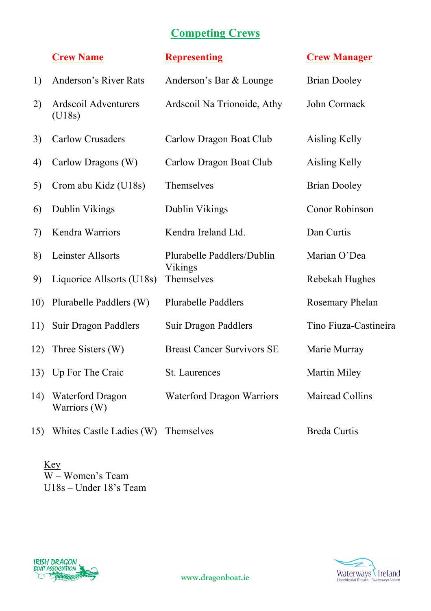#### **Competing Crews**

|     | <b>Crew Name</b>                        | <b>Representing</b>                   | <b>Crew Manager</b>    |
|-----|-----------------------------------------|---------------------------------------|------------------------|
| 1)  | <b>Anderson's River Rats</b>            | Anderson's Bar & Lounge               | <b>Brian Dooley</b>    |
| 2)  | Ardscoil Adventurers<br>(U18s)          | Ardscoil Na Trionoide, Athy           | John Cormack           |
| 3)  | <b>Carlow Crusaders</b>                 | Carlow Dragon Boat Club               | Aisling Kelly          |
| 4)  | Carlow Dragons (W)                      | Carlow Dragon Boat Club               | Aisling Kelly          |
| 5)  | Crom abu Kidz (U18s)                    | Themselves                            | <b>Brian Dooley</b>    |
| 6)  | Dublin Vikings                          | Dublin Vikings                        | Conor Robinson         |
| 7)  | Kendra Warriors                         | Kendra Ireland Ltd.                   | Dan Curtis             |
| 8)  | <b>Leinster Allsorts</b>                | Plurabelle Paddlers/Dublin<br>Vikings | Marian O'Dea           |
| 9)  | Liquorice Allsorts (U18s)               | Themselves                            | Rebekah Hughes         |
| 10) | Plurabelle Paddlers (W)                 | <b>Plurabelle Paddlers</b>            | Rosemary Phelan        |
| 11) | Suir Dragon Paddlers                    | Suir Dragon Paddlers                  | Tino Fiuza-Castineira  |
| 12) | Three Sisters (W)                       | <b>Breast Cancer Survivors SE</b>     | Marie Murray           |
|     | 13) Up For The Craic                    | <b>St.</b> Laurences                  | <b>Martin Miley</b>    |
| 14) | <b>Waterford Dragon</b><br>Warriors (W) | Waterford Dragon Warriors             | <b>Mairead Collins</b> |
| 15) | Whites Castle Ladies (W)                | Themselves                            | <b>Breda Curtis</b>    |

Key  $\overline{W}$  – Women's Team U18s – Under 18's Team



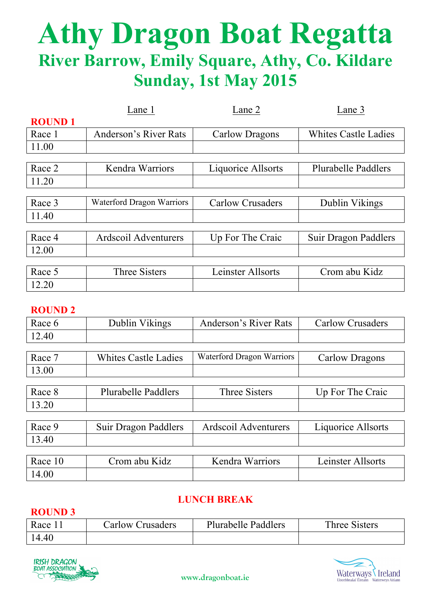# **Athy Dragon Boat Regatta River Barrow, Emily Square, Athy, Co. Kildare Sunday, 1st May 2015**

|               | Lane 1                    | Lane 2                  | Lane 3                      |
|---------------|---------------------------|-------------------------|-----------------------------|
| <b>ROUND1</b> |                           |                         |                             |
| Race 1        | Anderson's River Rats     | Carlow Dragons          | <b>Whites Castle Ladies</b> |
| 11.00         |                           |                         |                             |
|               |                           |                         |                             |
| Race 2        | Kendra Warriors           | Liquorice Allsorts      | <b>Plurabelle Paddlers</b>  |
| 11.20         |                           |                         |                             |
|               |                           |                         |                             |
| Race 3        | Waterford Dragon Warriors | <b>Carlow Crusaders</b> | Dublin Vikings              |
| 11.40         |                           |                         |                             |
|               |                           |                         |                             |
| Race 4        | Ardscoil Adventurers      | Up For The Craic        | Suir Dragon Paddlers        |
| 12.00         |                           |                         |                             |
|               |                           |                         |                             |
| Race 5        | <b>Three Sisters</b>      | Leinster Allsorts       | Crom abu Kidz               |
| 12.20         |                           |                         |                             |

#### **ROUND 2**

| 11V VI 12D 2 |                             |                           |                         |
|--------------|-----------------------------|---------------------------|-------------------------|
| Race 6       | Dublin Vikings              | Anderson's River Rats     | <b>Carlow Crusaders</b> |
| 12.40        |                             |                           |                         |
|              |                             |                           |                         |
| Race 7       | <b>Whites Castle Ladies</b> | Waterford Dragon Warriors | Carlow Dragons          |
| 13.00        |                             |                           |                         |
|              |                             |                           |                         |
| Race 8       | <b>Plurabelle Paddlers</b>  | <b>Three Sisters</b>      | Up For The Craic        |
| 13.20        |                             |                           |                         |
|              |                             |                           |                         |
| Race 9       | Suir Dragon Paddlers        | Ardscoil Adventurers      | Liquorice Allsorts      |
| 13.40        |                             |                           |                         |
|              |                             |                           |                         |

| Race 10 | Crom abu Kidz | Kendra Warriors | Leinster Allsorts |
|---------|---------------|-----------------|-------------------|
| 14.00   |               |                 |                   |

#### **LUNCH BREAK**

#### **ROUND 3**

| Race  | Carlow Crusaders | <b>Plurabelle Paddlers</b> | Three Sisters |
|-------|------------------|----------------------------|---------------|
| 14.40 |                  |                            |               |